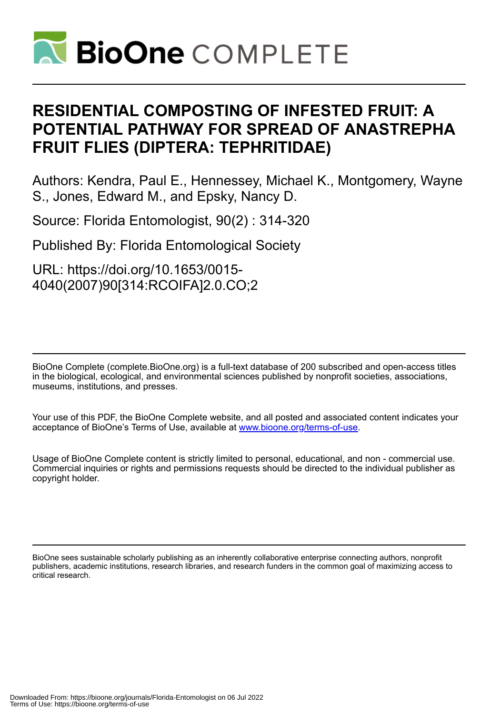

# **RESIDENTIAL COMPOSTING OF INFESTED FRUIT: A POTENTIAL PATHWAY FOR SPREAD OF ANASTREPHA FRUIT FLIES (DIPTERA: TEPHRITIDAE)**

Authors: Kendra, Paul E., Hennessey, Michael K., Montgomery, Wayne S., Jones, Edward M., and Epsky, Nancy D.

Source: Florida Entomologist, 90(2) : 314-320

Published By: Florida Entomological Society

URL: https://doi.org/10.1653/0015- 4040(2007)90[314:RCOIFA]2.0.CO;2

BioOne Complete (complete.BioOne.org) is a full-text database of 200 subscribed and open-access titles in the biological, ecological, and environmental sciences published by nonprofit societies, associations, museums, institutions, and presses.

Your use of this PDF, the BioOne Complete website, and all posted and associated content indicates your acceptance of BioOne's Terms of Use, available at www.bioone.org/terms-of-use.

Usage of BioOne Complete content is strictly limited to personal, educational, and non - commercial use. Commercial inquiries or rights and permissions requests should be directed to the individual publisher as copyright holder.

BioOne sees sustainable scholarly publishing as an inherently collaborative enterprise connecting authors, nonprofit publishers, academic institutions, research libraries, and research funders in the common goal of maximizing access to critical research.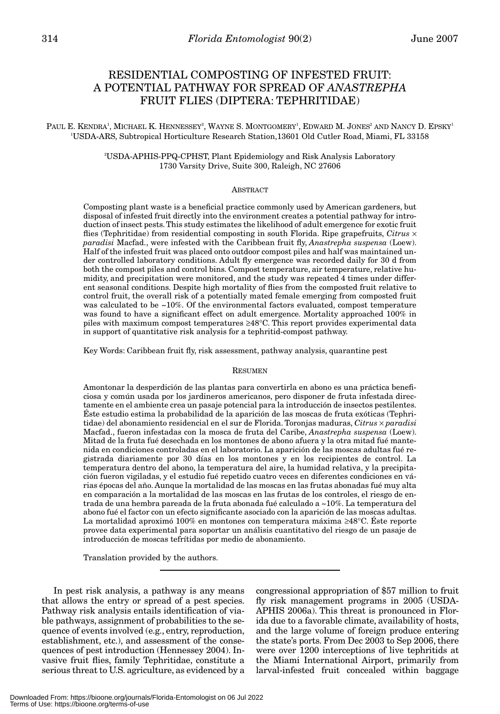## RESIDENTIAL COMPOSTING OF INFESTED FRUIT: A POTENTIAL PATHWAY FOR SPREAD OF *ANASTREPHA* FRUIT FLIES (DIPTERA: TEPHRITIDAE)

PAUL E. KENDRA<sup>1</sup>, MICHAEL K. HENNESSEY<sup>2</sup>, WAYNE S. MONTGOMERY<sup>1</sup>, EDWARD M. JONES<sup>2</sup> AND NANCY D. EPSKY<sup>1</sup> 1 USDA-ARS, Subtropical Horticulture Research Station,13601 Old Cutler Road, Miami, FL 33158

> 2 USDA-APHIS-PPQ-CPHST, Plant Epidemiology and Risk Analysis Laboratory 1730 Varsity Drive, Suite 300, Raleigh, NC 27606

#### ABSTRACT

Composting plant waste is a beneficial practice commonly used by American gardeners, but disposal of infested fruit directly into the environment creates a potential pathway for introduction of insect pests. This study estimates the likelihood of adult emergence for exotic fruit flies (Tephritidae) from residential composting in south Florida. Ripe grapefruits, *Citrus* × *paradisi* Macfad., were infested with the Caribbean fruit fly, *Anastrepha suspensa* (Loew). Half of the infested fruit was placed onto outdoor compost piles and half was maintained under controlled laboratory conditions. Adult fly emergence was recorded daily for 30 d from both the compost piles and control bins. Compost temperature, air temperature, relative humidity, and precipitation were monitored, and the study was repeated 4 times under different seasonal conditions. Despite high mortality of flies from the composted fruit relative to control fruit, the overall risk of a potentially mated female emerging from composted fruit was calculated to be ~10%. Of the environmental factors evaluated, compost temperature was found to have a significant effect on adult emergence. Mortality approached 100% in piles with maximum compost temperatures ≥48°C. This report provides experimental data in support of quantitative risk analysis for a tephritid-compost pathway.

Key Words: Caribbean fruit fly, risk assessment, pathway analysis, quarantine pest

### RESUMEN

Amontonar la desperdición de las plantas para convertirla en abono es una práctica beneficiosa y común usada por los jardineros americanos, pero disponer de fruta infestada directamente en el ambiente crea un pasaje potencial para la introducción de insectos pestilentes. Éste estudio estima la probabilidad de la aparición de las moscas de fruta exóticas (Tephritidae) del abonamiento residencial en el sur de Florida. Toronjas maduras, *Citrus* × *paradisi* Macfad., fueron infestadas con la mosca de fruta del Caribe, *Anastrepha suspensa* (Loew). Mitad de la fruta fué desechada en los montones de abono afuera y la otra mitad fué mantenida en condiciones controladas en el laboratorio. La aparición de las moscas adultas fué registrada diariamente por 30 días en los montones y en los recipientes de control. La temperatura dentro del abono, la temperatura del aire, la humidad relativa, y la precipitación fueron vigiladas, y el estudio fué repetido cuatro veces en diferentes condiciones en várias épocas del año. Aunque la mortalidad de las moscas en las frutas abonadas fué muy alta en comparación a la mortalidad de las moscas en las frutas de los controles, el riesgo de entrada de una hembra pareada de la fruta abonada fué calculado a ~10%. La temperatura del abono fué el factor con un efecto significante asociado con la aparición de las moscas adultas. La mortalidad aproximó 100% en montones con temperatura máxima ≥48°C. Éste reporte provee data experimental para soportar un análisis cuantitativo del riesgo de un pasaje de introducción de moscas tefrítidas por medio de abonamiento.

Translation provided by the authors.

In pest risk analysis, a pathway is any means that allows the entry or spread of a pest species. Pathway risk analysis entails identification of viable pathways, assignment of probabilities to the sequence of events involved (e.g., entry, reproduction, establishment, etc.), and assessment of the consequences of pest introduction (Hennessey 2004). Invasive fruit flies, family Tephritidae, constitute a serious threat to U.S. agriculture, as evidenced by a

congressional appropriation of \$57 million to fruit fly risk management programs in 2005 (USDA-APHIS 2006a). This threat is pronounced in Florida due to a favorable climate, availability of hosts, and the large volume of foreign produce entering the state's ports. From Dec 2003 to Sep 2006, there were over 1200 interceptions of live tephritids at the Miami International Airport, primarily from larval-infested fruit concealed within baggage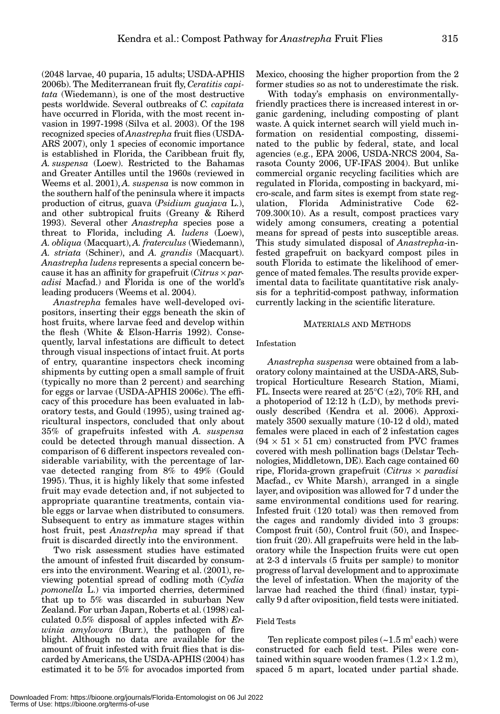(2048 larvae, 40 puparia, 15 adults; USDA-APHIS 2006b). The Mediterranean fruit fly, *Ceratitis capitata* (Wiedemann), is one of the most destructive pests worldwide. Several outbreaks of *C. capitata* have occurred in Florida, with the most recent invasion in 1997-1998 (Silva et al. 2003). Of the 198 recognized species of *Anastrepha* fruit flies (USDA-ARS 2007), only 1 species of economic importance is established in Florida, the Caribbean fruit fly, *A. suspensa* (Loew). Restricted to the Bahamas and Greater Antilles until the 1960s (reviewed in Weems et al. 2001), *A. suspensa* is now common in the southern half of the peninsula where it impacts production of citrus, guava (*Psidium guajava* L.), and other subtropical fruits (Greany & Riherd 1993). Several other *Anastrepha* species pose a threat to Florida, including *A. ludens* (Loew), *A. obliqua* (Macquart), *A. fraterculus* (Wiedemann), *A. striata* (Schiner), and *A. grandis* (Macquart). *Anastrepha ludens* represents a special concern because it has an affinity for grapefruit (*Citrus* × *paradisi* Macfad.) and Florida is one of the world's leading producers (Weems et al. 2004).

*Anastrepha* females have well-developed ovipositors, inserting their eggs beneath the skin of host fruits, where larvae feed and develop within the flesh (White & Elson-Harris 1992). Consequently, larval infestations are difficult to detect through visual inspections of intact fruit. At ports of entry, quarantine inspectors check incoming shipments by cutting open a small sample of fruit (typically no more than 2 percent) and searching for eggs or larvae (USDA-APHIS 2006c). The efficacy of this procedure has been evaluated in laboratory tests, and Gould (1995), using trained agricultural inspectors, concluded that only about 35% of grapefruits infested with *A. suspensa* could be detected through manual dissection. A comparison of 6 different inspectors revealed considerable variability, with the percentage of larvae detected ranging from 8% to 49% (Gould 1995). Thus, it is highly likely that some infested fruit may evade detection and, if not subjected to appropriate quarantine treatments, contain viable eggs or larvae when distributed to consumers. Subsequent to entry as immature stages within host fruit, pest *Anastrepha* may spread if that fruit is discarded directly into the environment.

Two risk assessment studies have estimated the amount of infested fruit discarded by consumers into the environment. Wearing et al. (2001), reviewing potential spread of codling moth (*Cydia pomonella* L.) via imported cherries, determined that up to 5% was discarded in suburban New Zealand. For urban Japan, Roberts et al. (1998) calculated 0.5% disposal of apples infected with *Erwinia amylovora* (Burr.), the pathogen of fire blight. Although no data are available for the amount of fruit infested with fruit flies that is discarded by Americans, the USDA-APHIS (2004) has estimated it to be 5% for avocados imported from

Mexico, choosing the higher proportion from the 2 former studies so as not to underestimate the risk.

With today's emphasis on environmentallyfriendly practices there is increased interest in organic gardening, including composting of plant waste. A quick internet search will yield much information on residential composting, disseminated to the public by federal, state, and local agencies (e.g., EPA 2006, USDA-NRCS 2004, Sarasota County 2006, UF-IFAS 2004). But unlike commercial organic recycling facilities which are regulated in Florida, composting in backyard, micro-scale, and farm sites is exempt from state regulation, Florida Administrative Code 62- 709.300(10). As a result, compost practices vary widely among consumers, creating a potential means for spread of pests into susceptible areas. This study simulated disposal of *Anastrepha*-infested grapefruit on backyard compost piles in south Florida to estimate the likelihood of emergence of mated females. The results provide experimental data to facilitate quantitative risk analysis for a tephritid-compost pathway, information currently lacking in the scientific literature.

#### MATERIALS AND METHODS

#### Infestation

*Anastrepha suspensa* were obtained from a laboratory colony maintained at the USDA-ARS, Subtropical Horticulture Research Station, Miami, FL. Insects were reared at  $25^{\circ}C (\pm 2)$ , 70% RH, and a photoperiod of 12:12 h (L:D), by methods previously described (Kendra et al. 2006). Approximately 3500 sexually mature (10-12 d old), mated females were placed in each of 2 infestation cages  $(94 \times 51 \times 51$  cm) constructed from PVC frames covered with mesh pollination bags (Delstar Technologies, Middletown, DE). Each cage contained 60 ripe, Florida-grown grapefruit (*Citrus* × *paradisi* Macfad., cv White Marsh), arranged in a single layer, and oviposition was allowed for 7 d under the same environmental conditions used for rearing. Infested fruit (120 total) was then removed from the cages and randomly divided into 3 groups: Compost fruit (50), Control fruit (50), and Inspection fruit (20). All grapefruits were held in the laboratory while the Inspection fruits were cut open at 2-3 d intervals (5 fruits per sample) to monitor progress of larval development and to approximate the level of infestation. When the majority of the larvae had reached the third (final) instar, typically 9 d after oviposition, field tests were initiated.

#### Field Tests

Ten replicate compost piles  $(-1.5 \text{ m}^3 \text{ each})$  were constructed for each field test. Piles were contained within square wooden frames  $(1.2 \times 1.2 \text{ m})$ , spaced 5 m apart, located under partial shade.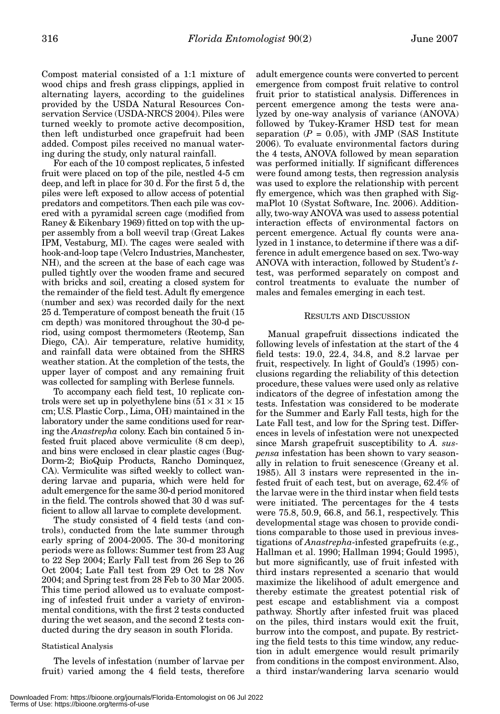Compost material consisted of a 1:1 mixture of wood chips and fresh grass clippings, applied in alternating layers, according to the guidelines provided by the USDA Natural Resources Conservation Service (USDA-NRCS 2004). Piles were turned weekly to promote active decomposition, then left undisturbed once grapefruit had been added. Compost piles received no manual watering during the study, only natural rainfall.

For each of the 10 compost replicates, 5 infested fruit were placed on top of the pile, nestled 4-5 cm deep, and left in place for 30 d. For the first 5 d, the piles were left exposed to allow access of potential predators and competitors. Then each pile was covered with a pyramidal screen cage (modified from Raney & Eikenbary 1969) fitted on top with the upper assembly from a boll weevil trap (Great Lakes IPM, Vestaburg, MI). The cages were sealed with hook-and-loop tape (Velcro Industries, Manchester, NH), and the screen at the base of each cage was pulled tightly over the wooden frame and secured with bricks and soil, creating a closed system for the remainder of the field test. Adult fly emergence (number and sex) was recorded daily for the next 25 d. Temperature of compost beneath the fruit (15 cm depth) was monitored throughout the 30-d period, using compost thermometers (Reotemp, San Diego, CA). Air temperature, relative humidity, and rainfall data were obtained from the SHRS weather station. At the completion of the tests, the upper layer of compost and any remaining fruit was collected for sampling with Berlese funnels.

To accompany each field test, 10 replicate controls were set up in polyethylene bins  $(51 \times 31 \times 15)$ cm; U.S. Plastic Corp., Lima, OH) maintained in the laboratory under the same conditions used for rearing the *Anastrepha* colony. Each bin contained 5 infested fruit placed above vermiculite (8 cm deep), and bins were enclosed in clear plastic cages (Bug-Dorm-2; BioQuip Products, Rancho Dominquez, CA). Vermiculite was sifted weekly to collect wandering larvae and puparia, which were held for adult emergence for the same 30-d period monitored in the field. The controls showed that 30 d was sufficient to allow all larvae to complete development.

The study consisted of 4 field tests (and controls), conducted from the late summer through early spring of 2004-2005. The 30-d monitoring periods were as follows: Summer test from 23 Aug to 22 Sep 2004; Early Fall test from 26 Sep to 26 Oct 2004; Late Fall test from 29 Oct to 28 Nov 2004; and Spring test from 28 Feb to 30 Mar 2005. This time period allowed us to evaluate composting of infested fruit under a variety of environmental conditions, with the first 2 tests conducted during the wet season, and the second 2 tests conducted during the dry season in south Florida.

#### Statistical Analysis

The levels of infestation (number of larvae per fruit) varied among the 4 field tests, therefore

adult emergence counts were converted to percent emergence from compost fruit relative to control fruit prior to statistical analysis. Differences in percent emergence among the tests were analyzed by one-way analysis of variance (ANOVA) followed by Tukey-Kramer HSD test for mean separation  $(P = 0.05)$ , with JMP (SAS Institute 2006). To evaluate environmental factors during the 4 tests, ANOVA followed by mean separation was performed initially. If significant differences were found among tests, then regression analysis was used to explore the relationship with percent fly emergence, which was then graphed with SigmaPlot 10 (Systat Software, Inc. 2006). Additionally, two-way ANOVA was used to assess potential interaction effects of environmental factors on percent emergence. Actual fly counts were analyzed in 1 instance, to determine if there was a difference in adult emergence based on sex. Two-way ANOVA with interaction, followed by Student's *t*test, was performed separately on compost and control treatments to evaluate the number of males and females emerging in each test.

#### RESULTS AND DISCUSSION

Manual grapefruit dissections indicated the following levels of infestation at the start of the 4 field tests: 19.0, 22.4, 34.8, and 8.2 larvae per fruit, respectively. In light of Gould's (1995) conclusions regarding the reliability of this detection procedure, these values were used only as relative indicators of the degree of infestation among the tests. Infestation was considered to be moderate for the Summer and Early Fall tests, high for the Late Fall test, and low for the Spring test. Differences in levels of infestation were not unexpected since Marsh grapefruit susceptibility to *A. suspensa* infestation has been shown to vary seasonally in relation to fruit senescence (Greany et al. 1985). All 3 instars were represented in the infested fruit of each test, but on average, 62.4% of the larvae were in the third instar when field tests were initiated. The percentages for the 4 tests were 75.8, 50.9, 66.8, and 56.1, respectively. This developmental stage was chosen to provide conditions comparable to those used in previous investigations of *Anastrepha*-infested grapefruits (e.g., Hallman et al. 1990; Hallman 1994; Gould 1995), but more significantly, use of fruit infested with third instars represented a scenario that would maximize the likelihood of adult emergence and thereby estimate the greatest potential risk of pest escape and establishment via a compost pathway. Shortly after infested fruit was placed on the piles, third instars would exit the fruit, burrow into the compost, and pupate. By restricting the field tests to this time window, any reduction in adult emergence would result primarily from conditions in the compost environment. Also, a third instar/wandering larva scenario would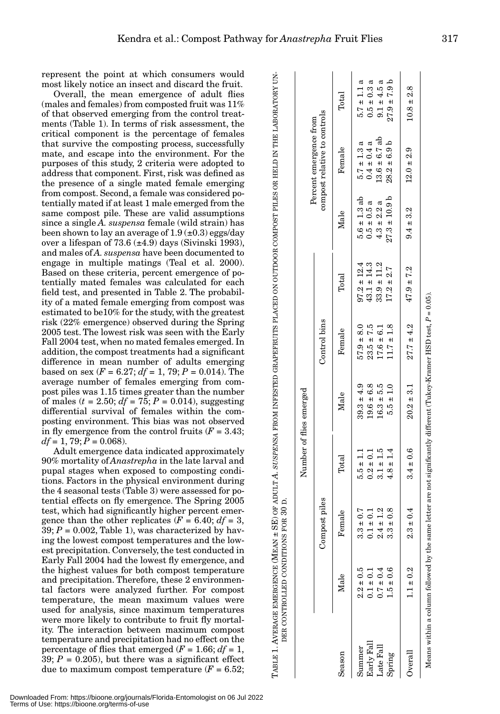represent the point at which consumers would most likely notice an insect and discard the fruit.

Overall, the mean emergence of adult flies (males and females) from composted fruit was 11% of that observed emerging from the control treatments (Table 1). In terms of risk assessment, the critical component is the percentage of females that survive the composting process, successfully mate, and escape into the environment. For the purposes of this study, 2 criteria were adopted to address that component. First, risk was defined as the presence of a single mated female emerging from compost. Second, a female was considered potentially mated if at least 1 male emerged from the same compost pile. These are valid assumptions since a single *A. suspensa* female (wild strain) has been shown to lay an average of  $1.9 \times 0.3$ ) eggs/day over a lifespan of 73.6  $(\pm 4.9)$  days (Sivinski 1993), and males of *A. suspensa* have been documented to engage in multiple matings (Teal et al. 2000). Based on these criteria, percent emergence of potentially mated females was calculated for each field test, and presented in Table 2. The probability of a mated female emerging from compost was estimated to be10% for the study, with the greatest risk (22% emergence) observed during the Spring 2005 test. The lowest risk was seen with the Early Fall 2004 test, when no mated females emerged. In addition, the compost treatments had a significant difference in mean number of adults emerging based on sex  $(F = 6.27; df = 1, 79; P = 0.014)$ . The average number of females emerging from compost piles was 1.15 times greater than the number of males  $(t = 2.50; df = 75; P = 0.014)$ , suggesting differential survival of females within the composting environment. This bias was not observed in fly emergence from the control fruits  $(F = 3.43)$ ;  $df = 1, 79; P = 0.068$ . represent the point at which consumers would be the mean emergene of a dult fites<br>
(males and females) from composted fruit was 11%<br>
(males and females) from composted fruit was 11%<br>
ord the doserved emerging from the con

Adult emergence data indicated approximately 90% mortality of *Anastrepha* in the late larval and pupal stages when exposed to composting conditions. Factors in the physical environment during the 4 seasonal tests (Table 3) were assessed for potential effects on fly emergence. The Spring 2005 test, which had significantly higher percent emergence than the other replicates  $(F = 6.40; df = 3$ ,  $39; P = 0.002$ , Table 1), was characterized by having the lowest compost temperatures and the lowest precipitation. Conversely, the test conducted in Early Fall 2004 had the lowest fly emergence, and the highest values for both compost temperature and precipitation. Therefore, these 2 environmental factors were analyzed further. For compost temperature, the mean maximum values were used for analysis, since maximum temperatures were more likely to contribute to fruit fly mortality. The interaction between maximum compost temperature and precipitation had no effect on the percentage of flies that emerged  $(F = 1.66; df = 1,$ 39;  $P = 0.205$ ), but there was a significant effect DER CONTROLLED CONDITIONS FOR 30  $\dot{\square}$ 

|                      |                                                                                                                         |                                              |                                | Number of flies emerged          |                                  |                                    |                                      |                                                        |                                     |
|----------------------|-------------------------------------------------------------------------------------------------------------------------|----------------------------------------------|--------------------------------|----------------------------------|----------------------------------|------------------------------------|--------------------------------------|--------------------------------------------------------|-------------------------------------|
|                      |                                                                                                                         | Compost piles                                |                                |                                  | Control bins                     |                                    |                                      | compost relative to controls<br>Percent emergence from |                                     |
| Season               | Male                                                                                                                    | Female                                       | $\text{Total}$                 | Male                             | Female                           | Total                              | Male                                 | Female                                                 | $\rm{Total}$                        |
| Early Fall<br>Summer | $2.2 \pm 0.5$<br>$0.1 \pm 0.1$                                                                                          | $\overline{.}$<br>$0.1 \pm 0$<br>$3.3 \pm 0$ | $5.5 \pm 1.1$<br>$0.2 \pm 0.1$ | $39.3 \pm 4.9$<br>$19.6 \pm 6.8$ | $57.9 \pm 8.0$<br>$23.5 \pm 7.5$ | $97.2 \pm 12.4$<br>$43.1 \pm 14.3$ | $5.6 \pm 1.3$ ab<br>$0.5 \pm 0.5$ a  | $5.7 \pm 1.3$ a<br>$0.4 \pm 0.4 a$                     | $0.5 \pm 0.3$ a<br>$5.7 \pm 1.1$ a  |
| Late Fall<br>Spring  | $1.5 \pm 0.6$<br>$0.7 \pm 0.4$                                                                                          | Ņ<br>œ<br>$2.4 \pm 1$<br>$\frac{1}{3}$       | $3.1 \pm 1.5$<br>$4.8 \pm 1.4$ | $16.3 + 5.5$<br>$5.5 \pm 1.0$    | $11.7 \pm 1.8$<br>$17.6 \pm 6.1$ | $33.9 \pm 11.2$<br>$17.2 \pm 2.7$  | $27.3 \pm 10.9$ b<br>$4.3 \pm 2.2 a$ | $13.6 \pm 6.7$ ab<br>$28.2 \pm 6.9$ b                  | $27.9 \pm 7.9 b$<br>$9.1 \pm 4.5 a$ |
| $\rm{Overall}$       | $1.1 \pm 0.2$                                                                                                           | 4<br>$2.3 \pm 0$                             | $3.4 \pm 0.6$                  | $20.2 \pm 3.1$                   | $27.7 \pm 4.2$                   | $47.9 \pm 7.2$                     | $9.4 \pm 3.2$                        | $12.0 \pm 2.9$                                         | $10.8 \pm 2.8$                      |
|                      | Means within a column followed by the same letter are not significantly different (Tukey-Kramer HSD test, $P = 0.05$ ). |                                              |                                |                                  |                                  |                                    |                                      |                                                        |                                     |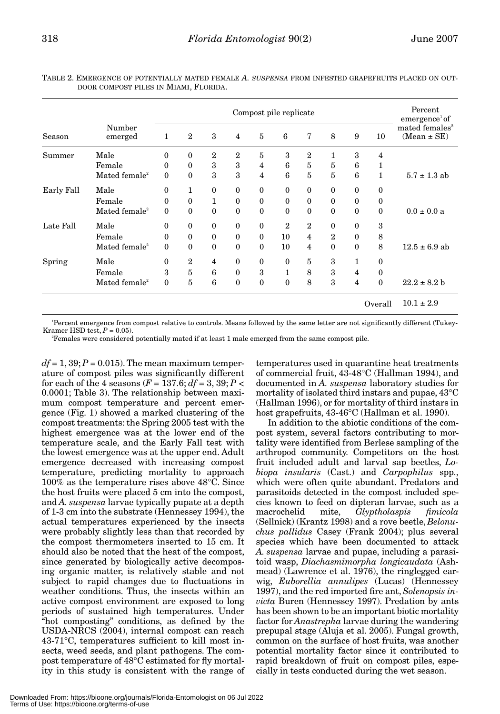|            |                           | Compost pile replicate |                |                |                |                |                |                |              |              | Percent<br>emergence <sup>1</sup> of |                                               |
|------------|---------------------------|------------------------|----------------|----------------|----------------|----------------|----------------|----------------|--------------|--------------|--------------------------------------|-----------------------------------------------|
| Season     | Number<br>emerged         | 1                      | $\overline{2}$ | 3              | $\overline{4}$ | $\overline{5}$ | 6              | 7              | 8            | 9            | 10                                   | mated females <sup>2</sup><br>$(Mean \pm SE)$ |
| Summer     | Male                      | $\mathbf{0}$           | $\theta$       | $\mathbf{2}$   | 2              | 5              | 3              | 2              | 1            | 3            | 4                                    |                                               |
|            | Female                    | $\mathbf{0}$           | $\mathbf{0}$   | 3              | 3              | $\overline{4}$ | 6              | 5              | $\bf 5$      | 6            | 1                                    |                                               |
|            | Mated female <sup>2</sup> | $\mathbf{0}$           | $\mathbf{0}$   | 3              | 3              | 4              | 6              | 5              | 5            | 6            | 1                                    | $5.7 \pm 1.3$ ab                              |
| Early Fall | Male                      | $\mathbf{0}$           | 1              | $\theta$       | $\theta$       | $\mathbf{0}$   | $\mathbf{0}$   | $\mathbf{0}$   | $\mathbf{0}$ | $\theta$     | $\bf{0}$                             |                                               |
|            | Female                    | $\theta$               | $\theta$       | 1              | $\theta$       | $\theta$       | $\mathbf{0}$   | $\mathbf{0}$   | $\mathbf{0}$ | $\Omega$     | $\Omega$                             |                                               |
|            | Mated female <sup>2</sup> | $\mathbf{0}$           | $\theta$       | $\theta$       | $\theta$       | $\theta$       | $\mathbf{0}$   | $\mathbf{0}$   | $\mathbf{0}$ | $\theta$     | $\theta$                             | $0.0 \pm 0.0 a$                               |
| Late Fall  | Male                      | $\mathbf{0}$           | $\theta$       | $\theta$       | $\theta$       | $\theta$       | $\overline{2}$ | 2              | $\mathbf{0}$ | $\Omega$     | 3                                    |                                               |
|            | Female                    | $\mathbf{0}$           | $\mathbf{0}$   | $\mathbf{0}$   | $\mathbf{0}$   | $\mathbf{0}$   | 10             | $\overline{4}$ | $\mathbf{2}$ | $\mathbf{0}$ | 8                                    |                                               |
|            | Mated female <sup>2</sup> | $\mathbf{0}$           | $\mathbf{0}$   | $\theta$       | $\theta$       | $\theta$       | 10             | $\overline{4}$ | $\mathbf{0}$ | $\theta$     | 8                                    | $12.5 \pm 6.9$ ab                             |
| Spring     | Male                      | $\mathbf{0}$           | $\overline{2}$ | $\overline{4}$ | $\theta$       | $\mathbf{0}$   | $\mathbf{0}$   | 5              | 3            | 1            | $\bf{0}$                             |                                               |
|            | Female                    | 3                      | 5              | 6              | $\theta$       | 3              | $\mathbf{1}$   | 8              | 3            | 4            | $\theta$                             |                                               |
|            | Mated female <sup>2</sup> | $\mathbf{0}$           | 5              | 6              | $\mathbf{0}$   | $\mathbf{0}$   | $\mathbf{0}$   | 8              | 3            | 4            | $\bf{0}$                             | $22.2 \pm 8.2 b$                              |
|            |                           |                        |                |                |                |                |                |                |              |              | Overall                              | $10.1 \pm 2.9$                                |

TABLE 2. EMERGENCE OF POTENTIALLY MATED FEMALE *A. SUSPENSA* FROM INFESTED GRAPEFRUITS PLACED ON OUT-DOOR COMPOST PILES IN MIAMI, FLORIDA.

1 Percent emergence from compost relative to controls. Means followed by the same letter are not significantly different (Tukey-Kramer HSD test,  $P = 0.05$ ).

Females were considered potentially mated if at least 1 male emerged from the same compost pile.

 $df = 1,39; P = 0.015$ . The mean maximum temperature of compost piles was significantly different for each of the 4 seasons  $(F = 137.6; df = 3, 39; P <$ 0.0001; Table 3). The relationship between maximum compost temperature and percent emergence (Fig. 1) showed a marked clustering of the compost treatments: the Spring 2005 test with the highest emergence was at the lower end of the temperature scale, and the Early Fall test with the lowest emergence was at the upper end. Adult emergence decreased with increasing compost temperature, predicting mortality to approach 100% as the temperature rises above 48°C. Since the host fruits were placed 5 cm into the compost, and *A. suspensa* larvae typically pupate at a depth of 1-3 cm into the substrate (Hennessey 1994), the actual temperatures experienced by the insects were probably slightly less than that recorded by the compost thermometers inserted to 15 cm. It should also be noted that the heat of the compost, since generated by biologically active decomposing organic matter, is relatively stable and not subject to rapid changes due to fluctuations in weather conditions. Thus, the insects within an active compost environment are exposed to long periods of sustained high temperatures. Under "hot composting" conditions, as defined by the USDA-NRCS (2004), internal compost can reach 43-71°C, temperatures sufficient to kill most insects, weed seeds, and plant pathogens. The compost temperature of 48°C estimated for fly mortality in this study is consistent with the range of

temperatures used in quarantine heat treatments of commercial fruit, 43-48°C (Hallman 1994), and documented in *A. suspensa* laboratory studies for mortality of isolated third instars and pupae, 43°C (Hallman 1996), or for mortality of third instars in host grapefruits, 43-46°C (Hallman et al. 1990).

In addition to the abiotic conditions of the compost system, several factors contributing to mortality were identified from Berlese sampling of the arthropod community. Competitors on the host fruit included adult and larval sap beetles, *Lobiopa insularis* (Cast.) and *Carpophilus* spp., which were often quite abundant. Predators and parasitoids detected in the compost included species known to feed on dipteran larvae, such as a macrochelid mite, *Glyptholaspis fimicola* (Sellnick) (Krantz 1998) and a rove beetle, *Belonuchus pallidus* Casey (Frank 2004); plus several species which have been documented to attack *A. suspensa* larvae and pupae, including a parasitoid wasp, *Diachasmimorpha longicaudata* (Ashmead) (Lawrence et al. 1976), the ringlegged earwig, *Euborellia annulipes* (Lucas) (Hennessey 1997), and the red imported fire ant, *Solenopsis invicta* Buren (Hennessey 1997). Predation by ants has been shown to be an important biotic mortality factor for *Anastrepha* larvae during the wandering prepupal stage (Aluja et al. 2005). Fungal growth, common on the surface of host fruits, was another potential mortality factor since it contributed to rapid breakdown of fruit on compost piles, especially in tests conducted during the wet season.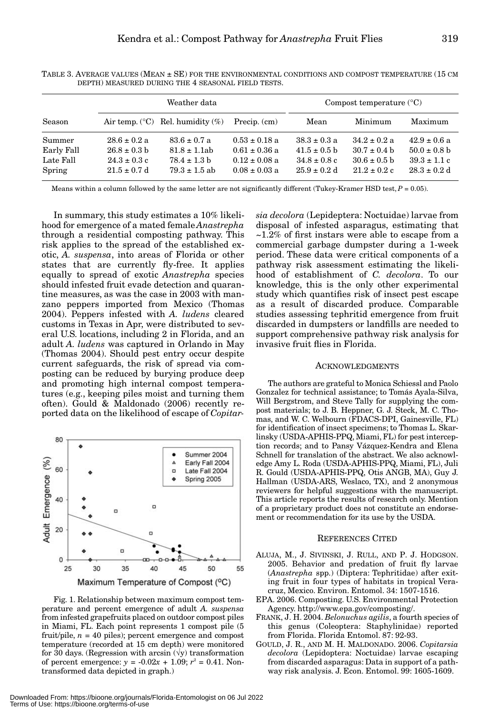|                         | Weather data     |                                                |                   |                  | Compost temperature $(^{\circ}C)$ |                  |  |  |
|-------------------------|------------------|------------------------------------------------|-------------------|------------------|-----------------------------------|------------------|--|--|
| Season                  |                  | Air temp. $({}^{\circ}C)$ Rel. humidity $(\%)$ | Precip. $(cm)$    | Mean             | Minimum                           | Maximum          |  |  |
| $\operatorname{Summer}$ | $28.6 \pm 0.2 a$ | $83.6 \pm 0.7$ a                               | $0.53 \pm 0.18$ a | $38.3 \pm 0.3$ a | $34.2 \pm 0.2$ a                  | $42.9 \pm 0.6$ a |  |  |
| Early Fall              | $26.8 \pm 0.3$ b | $81.8 \pm 1.1$ ab                              | $0.61 \pm 0.36$ a | $41.5 \pm 0.5$ b | $30.7 \pm 0.4$ b                  | $50.0 \pm 0.8$ b |  |  |
| Late Fall               | $24.3 \pm 0.3$ c | $78.4 \pm 1.3$ b                               | $0.12 \pm 0.08$ a | $34.8 \pm 0.8$ c | $30.6 \pm 0.5$ b                  | $39.3 \pm 1.1$ c |  |  |

TABLE 3. AVERAGE VALUES (MEAN ± SE) FOR THE ENVIRONMENTAL CONDITIONS AND COMPOST TEMPERATURE (15 CM DEPTH) MEASURED DURING THE 4 SEASONAL FIELD TESTS.

Means within a column followed by the same letter are not significantly different (Tukey-Kramer HSD test,  $P = 0.05$ ).

 $\text{Spring} \quad \text{21.5} \pm 0.7 \text{ d} \quad \text{79.3} \pm 1.5 \text{ ab} \quad \text{0.08} \pm 0.03 \text{ a} \quad \text{25.9} \pm 0.2 \text{ d} \quad \text{21.2} \pm 0.2 \text{ c} \quad \text{28.3} \pm 0.2 \text{ d}$ 

In summary, this study estimates a 10% likelihood for emergence of a mated female *Anastrepha* through a residential composting pathway. This risk applies to the spread of the established exotic, *A. suspensa*, into areas of Florida or other states that are currently fly-free. It applies equally to spread of exotic *Anastrepha* species should infested fruit evade detection and quarantine measures, as was the case in 2003 with manzano peppers imported from Mexico (Thomas 2004). Peppers infested with *A. ludens* cleared customs in Texas in Apr, were distributed to several U.S. locations, including 2 in Florida, and an adult *A. ludens* was captured in Orlando in May (Thomas 2004). Should pest entry occur despite current safeguards, the risk of spread via composting can be reduced by burying produce deep and promoting high internal compost temperatures (e.g., keeping piles moist and turning them often). Gould & Maldonado (2006) recently reported data on the likelihood of escape of *Copitar-*

 $S$ 



Fig. 1. Relationship between maximum compost temperature and percent emergence of adult *A. suspensa* from infested grapefruits placed on outdoor compost piles in Miami, FL. Each point represents 1 compost pile (5 fruit/pile,  $n = 40$  piles); percent emergence and compost temperature (recorded at 15 cm depth) were monitored for 30 days. (Regression with arcsin  $(\forall y)$  transformation of percent emergence:  $y = -0.02x + 1.09$ ;  $r^2 = 0.41$ . Nontransformed data depicted in graph.)

*sia decolora* (Lepideptera: Noctuidae) larvae from disposal of infested asparagus, estimating that  $\sim$ 1.2% of first instars were able to escape from a commercial garbage dumpster during a 1-week period. These data were critical components of a pathway risk assessment estimating the likelihood of establishment of *C. decolora*. To our knowledge, this is the only other experimental study which quantifies risk of insect pest escape as a result of discarded produce. Comparable studies assessing tephritid emergence from fruit discarded in dumpsters or landfills are needed to support comprehensive pathway risk analysis for invasive fruit flies in Florida.

#### ACKNOWLEDGMENTS

The authors are grateful to Monica Schiessl and Paolo Gonzalez for technical assistance; to Tomás Ayala-Silva, Will Bergstrom, and Steve Tally for supplying the compost materials; to J. B. Heppner, G. J. Steck, M. C. Thomas, and W. C. Welbourn (FDACS-DPI, Gainesville, FL) for identification of insect specimens; to Thomas L. Skarlinsky (USDA-APHIS-PPQ, Miami, FL) for pest interception records; and to Pansy Vázquez-Kendra and Elena Schnell for translation of the abstract. We also acknowledge Amy L. Roda (USDA-APHIS-PPQ, Miami, FL), Juli R. Gould (USDA-APHIS-PPQ, Otis ANGB, MA), Guy J. Hallman (USDA-ARS, Weslaco, TX), and 2 anonymous reviewers for helpful suggestions with the manuscript. This article reports the results of research only. Mention of a proprietary product does not constitute an endorsement or recommendation for its use by the USDA.

#### REFERENCES CITED

- ALUJA, M., J. SIVINSKI, J. RULL, AND P. J. HODGSON. 2005. Behavior and predation of fruit fly larvae (*Anastrepha* spp.) (Diptera: Tephritidae) after exiting fruit in four types of habitats in tropical Veracruz, Mexico. Environ. Entomol. 34: 1507-1516.
- EPA. 2006. Composting. U.S. Environmental Protection Agency. http://www.epa.gov/composting/.
- FRANK, J. H. 2004. *Belonuchus agilis*, a fourth species of this genus (Coleoptera: Staphylinidae) reported from Florida. Florida Entomol. 87: 92-93.
- GOULD, J. R., AND M. H. MALDONADO. 2006. *Copitarsia decolora* (Lepidoptera: Noctuidae) larvae escaping from discarded asparagus: Data in support of a pathway risk analysis. J. Econ. Entomol. 99: 1605-1609.